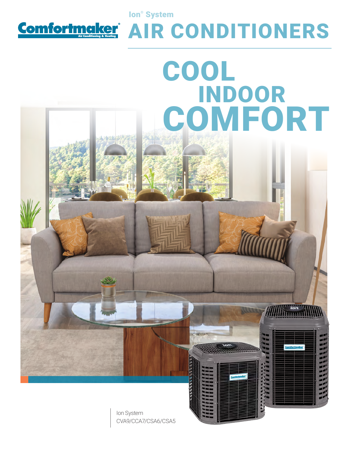

Ion® System

## AIR CONDITIONERS

# COOL INDOOR **COMFORT**

Ion System CVA9/CCA7/CSA6/CSA5 **ARRESTS**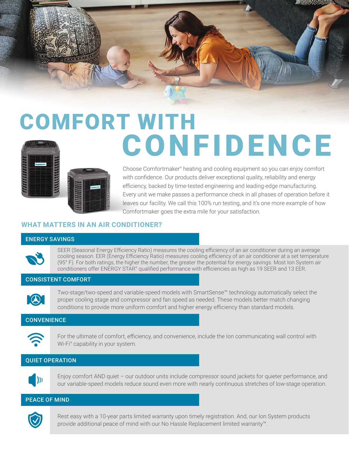

### COMFORT WITH **CONFIDENCE**



Choose Comfortmaker<sup>®</sup> heating and cooling equipment so you can enjoy comfort with confidence. Our products deliver exceptional quality, reliability and energy efficiency, backed by time-tested engineering and leading-edge manufacturing. Every unit we make passes a performance check in all phases of operation before it leaves our facility. We call this 100% run testing, and it's one more example of how Comfortmaker goes the extra mile for your satisfaction.

#### **WHAT MATTERS IN AN AIR CONDITIONER?**

#### ENERGY SAVINGS

SEER (Seasonal Energy Efficiency Ratio) measures the cooling efficiency of an air conditioner during an average cooling season. EER (Energy Efficiency Ratio) measures cooling efficiency of an air conditioner at a set temperature (95° F). For both ratings, the higher the number, the greater the potential for energy savings. Most Ion System air conditioners offer ENERGY STAR® qualified performance with efficiencies as high as 19 SEER and 13 EER.

#### CONSISTENT COMFORT



Two-stage/two-speed and variable-speed models with SmartSense™ technology automatically select the proper cooling stage and compressor and fan speed as needed. These models better match changing conditions to provide more uniform comfort and higher energy efficiency than standard models.

#### **CONVENIENCE**



For the ultimate of comfort, efficiency, and convenience, include the Ion communicating wall control with Wi-Fi® capability in your system.

#### QUIET OPERATION



Enjoy comfort AND quiet – our outdoor units include compressor sound jackets for quieter performance, and our variable-speed models reduce sound even more with nearly continuous stretches of low-stage operation.

#### PEACE OF MIND



Rest easy with a 10-year parts limited warranty upon timely registration. And, our Ion System products provide additional peace of mind with our No Hassle Replacement limited warranty™.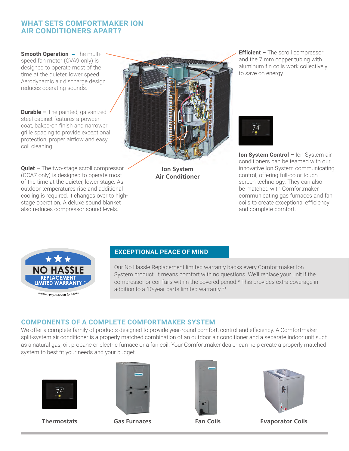#### **WHAT SETS COMFORTMAKER ION AIR CONDITIONERS APART?**

**Smooth Operation** – The multispeed fan motor (CVA9 only) is designed to operate most of the time at the quieter, lower speed. Aerodynamic air discharge design reduces operating sounds.

**Durable –** The painted, galvanized steel cabinet features a powdercoat, baked-on finish and narrower grille spacing to provide exceptional protection, proper airflow and easy coil cleaning.

**Quiet –** The two-stage scroll compressor (CCA7 only) is designed to operate most of the time at the quieter, lower stage. As outdoor temperatures rise and additional cooling is required, it changes over to highstage operation. A deluxe sound blanket also reduces compressor sound levels.



**Ion System Air Conditioner** **Efficient –** The scroll compressor and the 7 mm copper tubing with aluminum fin coils work collectively to save on energy.



**Ion System Control –** Ion System air conditioners can be teamed with our innovative Ion System communicating control, offering full-color touch screen technology. They can also be matched with Comfortmaker communicating gas furnaces and fan coils to create exceptional efficiency and complete comfort.



See warranty certificate for details

#### **EXCEPTIONAL PEACE OF MIND**

Our No Hassle Replacement limited warranty backs every Comfortmaker Ion System product. It means comfort with no questions. We'll replace your unit if the compressor or coil fails within the covered period.\* This provides extra coverage in addition to a 10-year parts limited warranty.\*\*

#### **COMPONENTS OF A COMPLETE COMFORTMAKER SYSTEM**

We offer a complete family of products designed to provide year-round comfort, control and efficiency. A Comfortmaker split-system air conditioner is a properly matched combination of an outdoor air conditioner and a separate indoor unit such as a natural gas, oil, propane or electric furnace or a fan coil. Your Comfortmaker dealer can help create a properly matched system to best fit your needs and your budget.









**Thermostats Gas Furnaces Fan Coils Evaporator Coils**